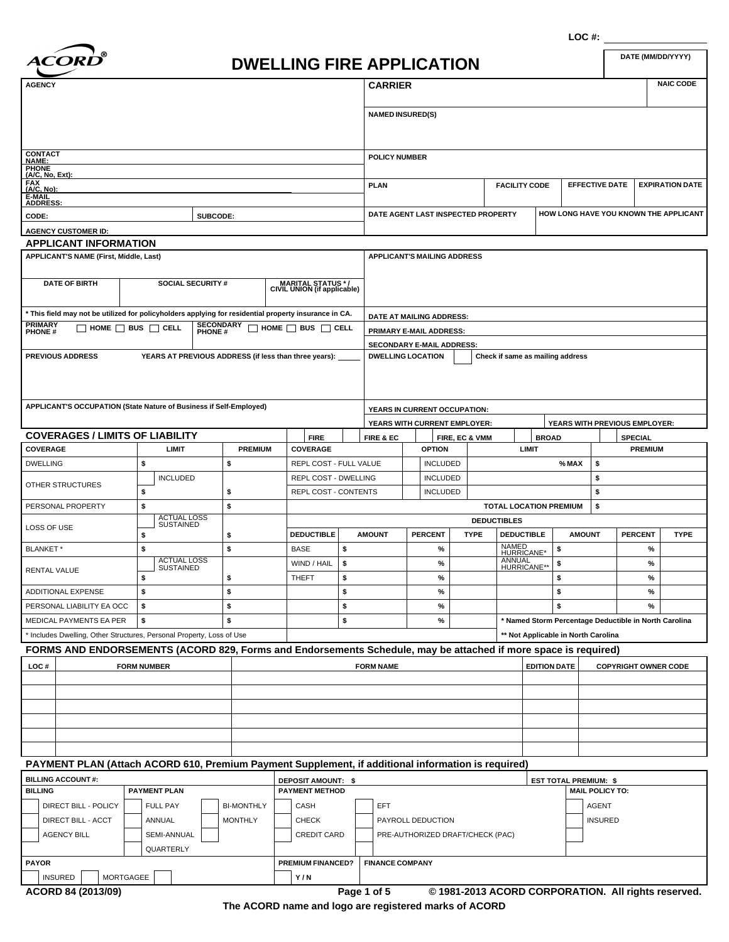

| <i><b>ACORD</b></i>                                                                                   |                                                       |                             |                                                  |                             | <b>DWELLING FIRE APPLICATION</b> |                                    |                                    |                               |                       | DATE (MM/DD/YYYY)                     |
|-------------------------------------------------------------------------------------------------------|-------------------------------------------------------|-----------------------------|--------------------------------------------------|-----------------------------|----------------------------------|------------------------------------|------------------------------------|-------------------------------|-----------------------|---------------------------------------|
| <b>AGENCY</b>                                                                                         |                                                       |                             |                                                  |                             | <b>CARRIER</b>                   |                                    |                                    |                               |                       | <b>NAIC CODE</b>                      |
|                                                                                                       |                                                       |                             |                                                  |                             | <b>NAMED INSURED(S)</b>          |                                    |                                    |                               |                       |                                       |
| <b>CONTACT</b><br>NAME:<br><b>PHONE</b>                                                               |                                                       |                             |                                                  |                             | <b>POLICY NUMBER</b>             |                                    |                                    |                               |                       |                                       |
| $(A/C, No, Ext)$ :<br><b>FAX</b><br>(A/C, No):<br>E-MAIL                                              |                                                       |                             |                                                  |                             | <b>PLAN</b>                      |                                    | <b>FACILITY CODE</b>               |                               | <b>EFFECTIVE DATE</b> | <b>EXPIRATION DATE</b>                |
| <b>ADDRESS:</b><br>CODE:<br><b>AGENCY CUSTOMER ID:</b>                                                | SUBCODE:                                              |                             |                                                  |                             |                                  |                                    | DATE AGENT LAST INSPECTED PROPERTY |                               |                       | HOW LONG HAVE YOU KNOWN THE APPLICANT |
| <b>APPLICANT INFORMATION</b>                                                                          |                                                       |                             |                                                  |                             |                                  |                                    |                                    |                               |                       |                                       |
| <b>APPLICANT'S NAME (First, Middle, Last)</b>                                                         |                                                       |                             |                                                  |                             |                                  | <b>APPLICANT'S MAILING ADDRESS</b> |                                    |                               |                       |                                       |
| <b>DATE OF BIRTH</b>                                                                                  | <b>SOCIAL SECURITY #</b>                              |                             | MARITAL STATUS */<br>CIVIL UNION (if applicable) |                             |                                  |                                    |                                    |                               |                       |                                       |
| * This field may not be utilized for policyholders applying for residential property insurance in CA. |                                                       |                             |                                                  |                             |                                  | DATE AT MAILING ADDRESS:           |                                    |                               |                       |                                       |
| <b>PRIMARY</b><br>PHONE#                                                                              | $\Box$ home $\Box$ bus $\Box$ cell                    | <b>SECONDARY</b><br>PHONE # | $\Box$ home $\Box$ bus $\Box$ cell               |                             |                                  | PRIMARY E-MAIL ADDRESS:            |                                    |                               |                       |                                       |
|                                                                                                       |                                                       |                             |                                                  |                             |                                  | <b>SECONDARY E-MAIL ADDRESS:</b>   |                                    |                               |                       |                                       |
| <b>PREVIOUS ADDRESS</b>                                                                               | YEARS AT PREVIOUS ADDRESS (if less than three years): |                             |                                                  |                             | <b>DWELLING LOCATION</b>         |                                    | Check if same as mailing address   |                               |                       |                                       |
| APPLICANT'S OCCUPATION (State Nature of Business if Self-Employed)                                    |                                                       |                             |                                                  |                             |                                  | YEARS IN CURRENT OCCUPATION:       |                                    |                               |                       |                                       |
|                                                                                                       |                                                       |                             |                                                  |                             |                                  | YEARS WITH CURRENT EMPLOYER:       |                                    |                               |                       | YEARS WITH PREVIOUS EMPLOYER:         |
| <b>COVERAGES / LIMITS OF LIABILITY</b>                                                                |                                                       |                             | <b>FIRE</b>                                      |                             | FIRE & EC                        | FIRE, EC & VMM                     |                                    | <b>BROAD</b>                  |                       | <b>SPECIAL</b>                        |
| <b>COVERAGE</b>                                                                                       | <b>LIMIT</b>                                          | <b>PREMIUM</b>              | <b>COVERAGE</b>                                  |                             |                                  | <b>OPTION</b>                      | <b>LIMIT</b>                       |                               |                       | <b>PREMIUM</b>                        |
| <b>DWELLING</b>                                                                                       | \$                                                    | \$                          |                                                  | REPL COST - FULL VALUE      |                                  | <b>INCLUDED</b>                    |                                    | % MAX                         | \$                    |                                       |
|                                                                                                       | <b>INCLUDED</b>                                       |                             |                                                  | <b>REPL COST - DWELLING</b> |                                  | <b>INCLUDED</b>                    |                                    |                               | \$                    |                                       |
| OTHER STRUCTURES                                                                                      | \$                                                    | \$                          |                                                  | <b>REPL COST - CONTENTS</b> |                                  | <b>INCLUDED</b>                    |                                    |                               | \$                    |                                       |
| PERSONAL PROPERTY                                                                                     | \$                                                    | \$                          |                                                  |                             |                                  |                                    |                                    | <b>TOTAL LOCATION PREMIUM</b> | \$                    |                                       |
| LOSS OF USE                                                                                           | <b>ACTUAL LOSS</b><br><b>SUSTAINED</b>                |                             |                                                  |                             |                                  |                                    | <b>DEDUCTIBLES</b>                 |                               |                       |                                       |
|                                                                                                       |                                                       |                             | <b>DEDUCTIBLE</b>                                |                             | <b>AMOUNT</b>                    | <b>DEDCENT</b>                     | TVDE DEDUCTIBLE                    | <b>AMOUNT</b>                 |                       | <b>DEDCENT</b><br>TVDE                |

| ------                                                                                                         |                                                                       |  | <b>DEDUCTIBLE</b> | <b>AMOUNT</b>    | <b>PERCENT</b> | <b>TYPE</b> | <b>DEDUCTIBLE</b>                   | <b>AMOUNT</b>                                         | <b>PERCENT</b>              | <b>TYPE</b> |  |
|----------------------------------------------------------------------------------------------------------------|-----------------------------------------------------------------------|--|-------------------|------------------|----------------|-------------|-------------------------------------|-------------------------------------------------------|-----------------------------|-------------|--|
| BLANKET*                                                                                                       |                                                                       |  | <b>BASE</b>       |                  | %              |             | NAMED<br>HURRICANE*                 |                                                       | $\frac{9}{6}$               |             |  |
| RENTAL VALUE                                                                                                   | <b>ACTUAL LOSS</b><br>SUSTAINED                                       |  | WIND / HAIL       |                  | $\frac{9}{6}$  |             | ANNUAL<br>HURRICANE**               |                                                       | $\frac{9}{6}$               |             |  |
|                                                                                                                |                                                                       |  | <b>THEFT</b>      |                  | $\%$           |             |                                     |                                                       | $\frac{9}{6}$               |             |  |
| ADDITIONAL EXPENSE                                                                                             |                                                                       |  |                   |                  | %              |             |                                     |                                                       | $\frac{9}{6}$               |             |  |
| PERSONAL LIABILITY EA OCC                                                                                      |                                                                       |  |                   |                  | $\frac{9}{6}$  |             |                                     |                                                       | $\frac{9}{6}$               |             |  |
| MEDICAL PAYMENTS EA PER                                                                                        |                                                                       |  |                   |                  | $\frac{9}{6}$  |             |                                     | * Named Storm Percentage Deductible in North Carolina |                             |             |  |
|                                                                                                                | * Includes Dwelling, Other Structures, Personal Property, Loss of Use |  |                   |                  |                |             | ** Not Applicable in North Carolina |                                                       |                             |             |  |
| FORMS AND ENDORSEMENTS (ACORD 829, Forms and Endorsements Schedule, may be attached if more space is required) |                                                                       |  |                   |                  |                |             |                                     |                                                       |                             |             |  |
| LOC#                                                                                                           | <b>FORM NUMBER</b>                                                    |  |                   | <b>FORM NAME</b> |                |             | <b>EDITION DATE</b>                 |                                                       | <b>COPYRIGHT OWNER CODE</b> |             |  |

# **PAYMENT PLAN (Attach ACORD 610, Premium Payment Supplement, if additional information is required)**

|                                  | I BILLING ACCOUNT #:        |  |                    |  |                   |                                                                    | <b>DEPOSIT AMOUNT: \$</b> |  |                                  | <b>EST TOTAL PREMIUM: \$</b> |  |                        |  |
|----------------------------------|-----------------------------|--|--------------------|--|-------------------|--------------------------------------------------------------------|---------------------------|--|----------------------------------|------------------------------|--|------------------------|--|
| I BILLING<br><b>PAYMENT PLAN</b> |                             |  |                    |  |                   |                                                                    | <b>PAYMENT METHOD</b>     |  |                                  |                              |  | <b>MAIL POLICY TO:</b> |  |
|                                  | DIRECT BILL - POLICY        |  | <b>FULL PAY</b>    |  | <b>BI-MONTHLY</b> |                                                                    | CASH                      |  | EFT                              |                              |  | AGENT                  |  |
|                                  | <b>DIRECT BILL - ACCT</b>   |  | <b>ANNUAL</b>      |  | <b>MONTHLY</b>    |                                                                    | <b>CHECK</b>              |  | PAYROLL DEDUCTION                |                              |  | <b>INSURED</b>         |  |
|                                  | <b>AGENCY BILL</b>          |  | <b>SEMI-ANNUAL</b> |  |                   |                                                                    | <b>CREDIT CARD</b>        |  | PRE-AUTHORIZED DRAFT/CHECK (PAC) |                              |  |                        |  |
|                                  |                             |  | QUARTERLY          |  |                   |                                                                    |                           |  |                                  |                              |  |                        |  |
| I PAYOR                          |                             |  |                    |  |                   |                                                                    | <b>PREMIUM FINANCED?</b>  |  | <b>FINANCE COMPANY</b>           |                              |  |                        |  |
|                                  | MORTGAGEE<br><b>INSURED</b> |  |                    |  |                   |                                                                    | Y/N                       |  |                                  |                              |  |                        |  |
|                                  | ACORD 84 (2013/09)          |  |                    |  |                   | © 1981-2013 ACORD CORPORATION. All rights reserved.<br>Page 1 of 5 |                           |  |                                  |                              |  |                        |  |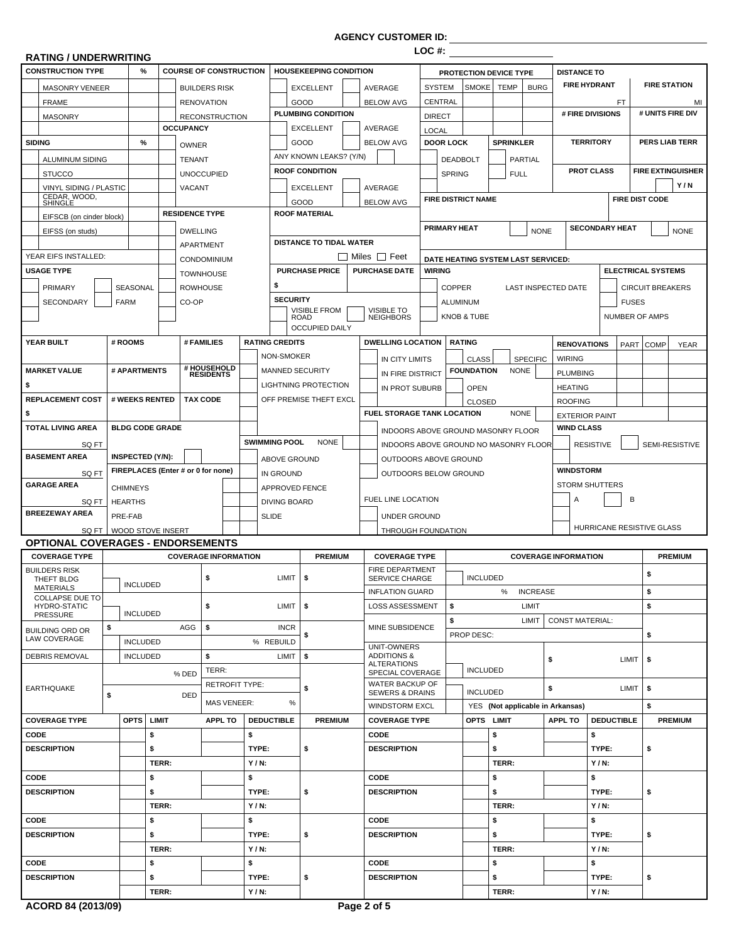**AGENCY CUSTOMER ID:**

| <b>RATING / UNDERWRITING</b>             |                 |                           |                  |                                    |                        |                                    |                                                 | LOC #:        |                     |                           |                                       |                 |                             |                           |              |                           |                          |
|------------------------------------------|-----------------|---------------------------|------------------|------------------------------------|------------------------|------------------------------------|-------------------------------------------------|---------------|---------------------|---------------------------|---------------------------------------|-----------------|-----------------------------|---------------------------|--------------|---------------------------|--------------------------|
| <b>CONSTRUCTION TYPE</b>                 | %               |                           |                  | <b>COURSE OF CONSTRUCTION</b>      |                        | <b>HOUSEKEEPING CONDITION</b>      |                                                 |               |                     |                           | PROTECTION DEVICE TYPE                |                 | <b>DISTANCE TO</b>          |                           |              |                           |                          |
| MASONRY VENEER                           |                 |                           |                  | <b>BUILDERS RISK</b>               |                        | <b>EXCELLENT</b>                   | AVERAGE                                         | <b>SYSTEM</b> |                     | SMOKE                     | <b>TEMP</b>                           | <b>BURG</b>     |                             | <b>FIRE HYDRANT</b>       |              | <b>FIRE STATION</b>       |                          |
| <b>FRAME</b>                             |                 |                           |                  | <b>RENOVATION</b>                  |                        | GOOD                               | <b>BELOW AVG</b>                                | CENTRAL       |                     |                           |                                       |                 |                             | <b>FT</b>                 |              |                           | MI                       |
| <b>MASONRY</b>                           |                 |                           |                  | <b>RECONSTRUCTION</b>              |                        | PLUMBING CONDITION                 |                                                 | <b>DIRECT</b> |                     |                           |                                       |                 |                             | # FIRE DIVISIONS          |              |                           | # UNITS FIRE DIV         |
|                                          |                 |                           | <b>OCCUPANCY</b> |                                    |                        | <b>EXCELLENT</b>                   | AVERAGE                                         | <b>LOCAL</b>  |                     |                           |                                       |                 |                             |                           |              |                           |                          |
| <b>SIDING</b>                            | %               |                           | <b>OWNER</b>     |                                    |                        | GOOD                               | <b>BELOW AVG</b>                                |               | <b>DOOR LOCK</b>    |                           | <b>SPRINKLER</b>                      |                 |                             | <b>TERRITORY</b>          |              |                           | <b>PERS LIAB TERR</b>    |
| ALUMINUM SIDING                          |                 |                           | <b>TENANT</b>    |                                    |                        | ANY KNOWN LEAKS? (Y/N)             |                                                 |               |                     | <b>DEADBOLT</b>           | <b>PARTIAL</b>                        |                 |                             |                           |              |                           |                          |
| <b>STUCCO</b>                            |                 |                           |                  | <b>UNOCCUPIED</b>                  |                        | <b>ROOF CONDITION</b>              |                                                 |               | <b>SPRING</b>       |                           | <b>FULL</b>                           |                 |                             | <b>PROT CLASS</b>         |              |                           | <b>FIRE EXTINGUISHER</b> |
| <b>VINYL SIDING / PLASTIC</b>            |                 |                           | <b>VACANT</b>    |                                    |                        | <b>EXCELLENT</b>                   | AVERAGE                                         |               |                     |                           |                                       |                 |                             |                           |              |                           | Y/N                      |
| CEDAR, WOOD,<br>SHINGLE                  |                 |                           |                  |                                    |                        | GOOD                               | <b>BELOW AVG</b>                                |               |                     | <b>FIRE DISTRICT NAME</b> |                                       |                 |                             |                           |              | <b>FIRE DIST CODE</b>     |                          |
| EIFSCB (on cinder block)                 |                 |                           |                  | <b>RESIDENCE TYPE</b>              |                        | <b>ROOF MATERIAL</b>               |                                                 |               |                     |                           |                                       |                 |                             |                           |              |                           |                          |
| EIFSS (on studs)                         |                 |                           | <b>DWELLING</b>  |                                    |                        |                                    |                                                 |               | <b>PRIMARY HEAT</b> |                           |                                       | <b>NONE</b>     |                             | <b>SECONDARY HEAT</b>     |              |                           | <b>NONE</b>              |
|                                          |                 |                           | APARTMENT        |                                    |                        | <b>DISTANCE TO TIDAL WATER</b>     |                                                 |               |                     |                           |                                       |                 |                             |                           |              |                           |                          |
| YEAR EIFS INSTALLED:                     |                 |                           |                  | <b>CONDOMINIUM</b>                 |                        |                                    | $\Box$ Miles $\Box$ Feet                        |               |                     |                           | DATE HEATING SYSTEM LAST SERVICED:    |                 |                             |                           |              |                           |                          |
| <b>USAGE TYPE</b>                        |                 |                           |                  | <b>TOWNHOUSE</b>                   |                        | <b>PURCHASE PRICE</b>              | <b>PURCHASE DATE</b>                            | <b>WIRING</b> |                     |                           |                                       |                 |                             |                           |              | <b>ELECTRICAL SYSTEMS</b> |                          |
| <b>PRIMARY</b>                           | SEASONAL        |                           | <b>ROWHOUSE</b>  |                                    | \$                     |                                    |                                                 |               | <b>COPPER</b>       |                           | <b>LAST INSPECTED DATE</b>            |                 |                             |                           |              | <b>CIRCUIT BREAKERS</b>   |                          |
| <b>SECONDARY</b>                         | <b>FARM</b>     |                           | CO-OP            |                                    | <b>SECURITY</b>        |                                    |                                                 |               | ALUMINUM            |                           |                                       |                 |                             |                           | <b>FUSES</b> |                           |                          |
|                                          |                 |                           |                  |                                    |                        | <b>VISIBLE FROM</b><br><b>ROAD</b> | <b>VISIBLE TO</b><br><b>NEIGHBORS</b>           |               |                     | <b>KNOB &amp; TUBE</b>    |                                       |                 |                             |                           |              | <b>NUMBER OF AMPS</b>     |                          |
|                                          |                 |                           |                  |                                    |                        | <b>OCCUPIED DAILY</b>              |                                                 |               |                     |                           |                                       |                 |                             |                           |              |                           |                          |
| YEAR BUILT                               | # ROOMS         |                           |                  | # FAMILIES                         | <b>RATING CREDITS</b>  |                                    | <b>DWELLING LOCATION</b>                        |               |                     | <b>RATING</b>             |                                       |                 | <b>RENOVATIONS</b>          |                           | PART         | <b>COMP</b>               | <b>YEAR</b>              |
|                                          |                 |                           |                  |                                    | NON-SMOKER             |                                    | IN CITY LIMITS                                  |               |                     | <b>CLASS</b>              | <b>SPECIFIC</b>                       |                 | <b>WIRING</b>               |                           |              |                           |                          |
| <b>MARKET VALUE</b>                      | # APARTMENTS    |                           |                  | # HOUSEHOLD<br>RESIDENTS           | <b>MANNED SECURITY</b> |                                    | IN FIRE DISTRICT                                |               |                     | <b>FOUNDATION</b>         | <b>NONE</b>                           |                 | <b>PLUMBING</b>             |                           |              |                           |                          |
| \$                                       |                 |                           |                  |                                    |                        | <b>LIGHTNING PROTECTION</b>        | IN PROT SUBURB                                  |               |                     | <b>OPEN</b>               |                                       |                 | <b>HEATING</b>              |                           |              |                           |                          |
| <b>REPLACEMENT COST</b>                  |                 | # WEEKS RENTED            | <b>TAX CODE</b>  |                                    |                        | OFF PREMISE THEFT EXCL             |                                                 |               |                     | <b>CLOSED</b>             |                                       |                 | <b>ROOFING</b>              |                           |              |                           |                          |
| \$                                       |                 |                           |                  |                                    |                        |                                    | <b>FUEL STORAGE TANK LOCATION</b>               |               |                     |                           | <b>NONE</b>                           |                 |                             | <b>EXTERIOR PAINT</b>     |              |                           |                          |
| <b>TOTAL LIVING AREA</b>                 |                 | <b>BLDG CODE GRADE</b>    |                  |                                    |                        |                                    |                                                 |               |                     |                           | INDOORS ABOVE GROUND MASONRY FLOOR    |                 | <b>WIND CLASS</b>           |                           |              |                           |                          |
| SQ FT                                    |                 |                           |                  |                                    | <b>SWIMMING POOL</b>   | <b>NONE</b>                        |                                                 |               |                     |                           | INDOORS ABOVE GROUND NO MASONRY FLOOR |                 |                             | <b>RESISTIVE</b>          |              |                           | SEMI-RESISTIVE           |
| <b>BASEMENT AREA</b>                     |                 | INSPECTED (Y/N):          |                  |                                    | ABOVE GROUND           |                                    | OUTDOORS ABOVE GROUND                           |               |                     |                           |                                       |                 |                             |                           |              |                           |                          |
| SQ FT                                    |                 |                           |                  | FIREPLACES (Enter # or 0 for none) | IN GROUND              |                                    | OUTDOORS BELOW GROUND                           |               |                     |                           |                                       |                 | <b>WINDSTORM</b>            |                           |              |                           |                          |
| <b>GARAGE AREA</b>                       | <b>CHIMNEYS</b> |                           |                  |                                    | <b>APPROVED FENCE</b>  |                                    |                                                 |               |                     |                           |                                       |                 |                             | <b>STORM SHUTTERS</b>     |              |                           |                          |
| SQ FT                                    | <b>HEARTHS</b>  |                           |                  |                                    | <b>DIVING BOARD</b>    |                                    | FUEL LINE LOCATION                              |               |                     |                           |                                       |                 | A                           |                           | B            |                           |                          |
| <b>BREEZEWAY AREA</b>                    | PRE-FAB         |                           |                  |                                    | <b>SLIDE</b>           |                                    | <b>UNDER GROUND</b>                             |               |                     |                           |                                       |                 |                             |                           |              |                           |                          |
|                                          |                 | SQ FT   WOOD STOVE INSERT |                  |                                    |                        |                                    | THROUGH FOUNDATION                              |               |                     |                           |                                       |                 |                             | HURRICANE RESISTIVE GLASS |              |                           |                          |
| <b>OPTIONAL COVERAGES - ENDORSEMENTS</b> |                 |                           |                  |                                    |                        |                                    |                                                 |               |                     |                           |                                       |                 |                             |                           |              |                           |                          |
| <b>COVERAGE TYPE</b>                     |                 |                           |                  | <b>COVERAGE INFORMATION</b>        |                        | <b>PREMIUM</b>                     | <b>COVERAGE TYPE</b>                            |               |                     |                           |                                       |                 | <b>COVERAGE INFORMATION</b> |                           |              |                           | <b>PREMIUM</b>           |
| <b>BUILDERS RISK</b><br>THEFT BLDG       |                 |                           |                  |                                    | $LIMIT$ \$             |                                    | <b>FIRE DEPARTMENT</b><br><b>SERVICE CHARGE</b> |               |                     | INCLUDED                  |                                       |                 |                             |                           |              | \$                        |                          |
| MATERIALS<br><b>COLLAPSE DUE TO</b>      | <b>INCLUDED</b> |                           |                  |                                    |                        |                                    | <b>INFLATION GUARD</b>                          |               |                     |                           | %                                     | <b>INCREASE</b> |                             |                           |              | \$                        |                          |
| <b>HYDRO-STATIC</b>                      |                 |                           |                  | \$                                 | $LIMIT$ $\sqrt{5}$     |                                    | LOSS ASSESSMENT                                 |               | \$                  |                           | LIMIT                                 |                 |                             |                           |              | \$                        |                          |
| PRESSURE                                 | <b>INCLUDED</b> |                           |                  |                                    |                        |                                    |                                                 |               | \$                  |                           | LIMIT                                 |                 | <b>CONST MATERIAL:</b>      |                           |              |                           |                          |
| <b>BUILDING ORD OR</b><br>LAW COVERAGE   | \$              |                           | AGG              | \$                                 | <b>INCR</b>            | \$                                 | MINE SUBSIDENCE                                 |               |                     | PROP DESC:                |                                       |                 |                             |                           |              | \$                        |                          |
|                                          | <b>INCLUDED</b> |                           |                  |                                    | % REBUILD              |                                    | UNIT-OWNERS                                     |               |                     |                           |                                       |                 |                             |                           |              |                           |                          |
| <b>DEBRIS REMOVAL</b>                    | <b>INCLUDED</b> |                           |                  | \$                                 | LIMIT                  | \$                                 | <b>ADDITIONS &amp;</b><br><b>ALTERATIONS</b>    |               |                     |                           |                                       | \$              |                             |                           | LIMIT        | -\$                       |                          |
|                                          |                 |                           | % DED            | TERR:                              |                        |                                    | SPECIAL COVERAGE                                |               |                     | <b>INCLUDED</b>           |                                       |                 |                             |                           |              |                           |                          |
| <b>EARTHQUAKE</b>                        | \$              |                           | DED              | <b>RETROFIT TYPE:</b>              |                        | \$                                 | WATER BACKUP OF<br><b>SEWERS &amp; DRAINS</b>   |               |                     | <b>INCLUDED</b>           |                                       | \$              |                             |                           | LIMIT        | \$                        |                          |
|                                          |                 |                           |                  | <b>MAS VENEER:</b>                 | %                      |                                    | <b>WINDSTORM EXCL</b>                           |               |                     |                           | YES (Not applicable in Arkansas)      |                 |                             |                           |              | \$                        |                          |
| <b>COVERAGE TYPE</b>                     | OPTS            | <b>LIMIT</b>              |                  | <b>APPL TO</b>                     | <b>DEDUCTIBLE</b>      | <b>PREMIUM</b>                     | <b>COVERAGE TYPE</b>                            |               |                     |                           | OPTS LIMIT                            |                 | <b>APPL TO</b>              | <b>DEDUCTIBLE</b>         |              |                           | <b>PREMIUM</b>           |
| CODE                                     |                 | \$                        |                  |                                    | \$                     |                                    | CODE                                            |               |                     |                           | \$                                    |                 |                             | \$                        |              |                           |                          |
| <b>DESCRIPTION</b>                       |                 | \$                        |                  |                                    | TYPE:                  | \$                                 | <b>DESCRIPTION</b>                              |               |                     |                           | \$                                    |                 |                             | TYPE:                     |              | \$                        |                          |
|                                          |                 | TERR:                     |                  |                                    | $Y/N$ :                |                                    |                                                 |               |                     |                           | TERR:                                 |                 |                             | $Y/N$ :                   |              |                           |                          |
| CODE                                     |                 | \$                        |                  |                                    | \$                     |                                    | <b>CODE</b>                                     |               |                     |                           | \$                                    |                 |                             | \$                        |              |                           |                          |
| <b>DESCRIPTION</b>                       |                 | \$                        |                  |                                    | TYPE:                  | \$                                 | <b>DESCRIPTION</b>                              |               |                     |                           | \$                                    |                 |                             | TYPE:                     |              | \$                        |                          |
|                                          |                 | TERR:                     |                  |                                    | $Y/N$ :                |                                    |                                                 |               |                     |                           | TERR:                                 |                 |                             | $Y/N$ :                   |              |                           |                          |
| CODE                                     |                 | \$                        |                  |                                    | \$                     |                                    | <b>CODE</b>                                     |               |                     |                           | \$                                    |                 |                             | \$                        |              |                           |                          |
| <b>DESCRIPTION</b>                       |                 | \$                        |                  |                                    | TYPE:                  | \$                                 | <b>DESCRIPTION</b>                              |               |                     |                           | \$                                    |                 |                             | TYPE:                     |              | \$                        |                          |
|                                          |                 | TERR:                     |                  |                                    | $Y/N$ :                |                                    |                                                 |               |                     |                           | TERR:                                 |                 |                             | $Y/N$ :                   |              |                           |                          |
| CODE                                     |                 | \$                        |                  |                                    | \$                     |                                    | CODE                                            |               |                     |                           | \$                                    |                 |                             | \$                        |              |                           |                          |
| <b>DESCRIPTION</b>                       |                 | \$                        |                  |                                    | TYPE:                  | \$                                 | <b>DESCRIPTION</b>                              |               |                     |                           | \$                                    |                 |                             | TYPE:                     |              | \$                        |                          |
|                                          |                 | TERR:                     |                  |                                    | $Y/N$ :                |                                    |                                                 |               |                     |                           | TERR:                                 |                 |                             | $Y/N$ :                   |              |                           |                          |
|                                          |                 |                           |                  |                                    |                        |                                    |                                                 |               |                     |                           |                                       |                 |                             |                           |              |                           |                          |

I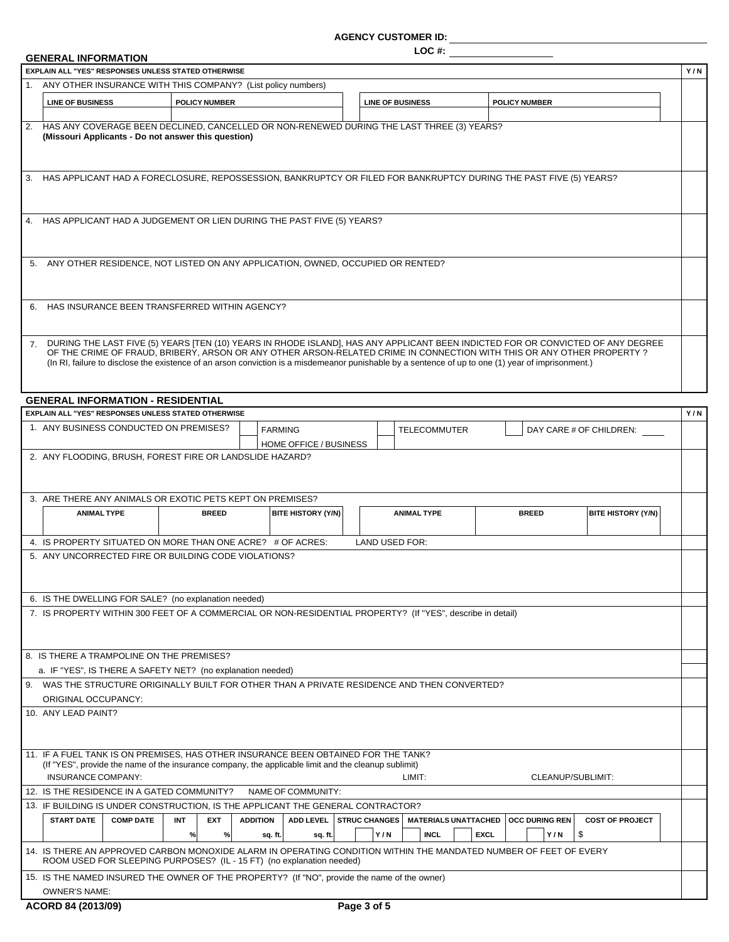#### **AGENCY CUSTOMER ID:**

**LOC #:**

#### **GENERAL INFORMATION**

|             | UEINERAL INFURINATIUN<br><b>EXPLAIN ALL "YES" RESPONSES UNLESS STATED OTHERWISE</b>                                                                                                                              |                      |                 |                        |                         |                             |             |                       |                                                                                                                                                                                                                                                          | Y/N |
|-------------|------------------------------------------------------------------------------------------------------------------------------------------------------------------------------------------------------------------|----------------------|-----------------|------------------------|-------------------------|-----------------------------|-------------|-----------------------|----------------------------------------------------------------------------------------------------------------------------------------------------------------------------------------------------------------------------------------------------------|-----|
|             | 1. ANY OTHER INSURANCE WITH THIS COMPANY? (List policy numbers)                                                                                                                                                  |                      |                 |                        |                         |                             |             |                       |                                                                                                                                                                                                                                                          |     |
|             | <b>LINE OF BUSINESS</b>                                                                                                                                                                                          | <b>POLICY NUMBER</b> |                 |                        | <b>LINE OF BUSINESS</b> |                             |             | <b>POLICY NUMBER</b>  |                                                                                                                                                                                                                                                          |     |
|             |                                                                                                                                                                                                                  |                      |                 |                        |                         |                             |             |                       |                                                                                                                                                                                                                                                          |     |
|             | 2. HAS ANY COVERAGE BEEN DECLINED, CANCELLED OR NON-RENEWED DURING THE LAST THREE (3) YEARS?<br>(Missouri Applicants - Do not answer this question)                                                              |                      |                 |                        |                         |                             |             |                       |                                                                                                                                                                                                                                                          |     |
|             | 3. HAS APPLICANT HAD A FORECLOSURE, REPOSSESSION, BANKRUPTCY OR FILED FOR BANKRUPTCY DURING THE PAST FIVE (5) YEARS?                                                                                             |                      |                 |                        |                         |                             |             |                       |                                                                                                                                                                                                                                                          |     |
|             | 4. HAS APPLICANT HAD A JUDGEMENT OR LIEN DURING THE PAST FIVE (5) YEARS?                                                                                                                                         |                      |                 |                        |                         |                             |             |                       |                                                                                                                                                                                                                                                          |     |
|             | 5. ANY OTHER RESIDENCE, NOT LISTED ON ANY APPLICATION, OWNED, OCCUPIED OR RENTED?                                                                                                                                |                      |                 |                        |                         |                             |             |                       |                                                                                                                                                                                                                                                          |     |
|             | 6. HAS INSURANCE BEEN TRANSFERRED WITHIN AGENCY?                                                                                                                                                                 |                      |                 |                        |                         |                             |             |                       |                                                                                                                                                                                                                                                          |     |
| $7^{\circ}$ | (In RI, failure to disclose the existence of an arson conviction is a misdemeanor punishable by a sentence of up to one (1) year of imprisonment.)                                                               |                      |                 |                        |                         |                             |             |                       | DURING THE LAST FIVE (5) YEARS [TEN (10) YEARS IN RHODE ISLAND], HAS ANY APPLICANT BEEN INDICTED FOR OR CONVICTED OF ANY DEGREE<br>OF THE CRIME OF FRAUD, BRIBERY, ARSON OR ANY OTHER ARSON-RELATED CRIME IN CONNECTION WITH THIS OR ANY OTHER PROPERTY? |     |
|             | <b>GENERAL INFORMATION - RESIDENTIAL</b>                                                                                                                                                                         |                      |                 |                        |                         |                             |             |                       |                                                                                                                                                                                                                                                          |     |
|             | EXPLAIN ALL "YES" RESPONSES UNLESS STATED OTHERWISE                                                                                                                                                              |                      |                 |                        |                         |                             |             |                       |                                                                                                                                                                                                                                                          | Y/N |
|             | 1. ANY BUSINESS CONDUCTED ON PREMISES?                                                                                                                                                                           |                      |                 | <b>FARMING</b>         |                         | <b>TELECOMMUTER</b>         |             |                       | DAY CARE # OF CHILDREN:                                                                                                                                                                                                                                  |     |
|             |                                                                                                                                                                                                                  |                      |                 | HOME OFFICE / BUSINESS |                         |                             |             |                       |                                                                                                                                                                                                                                                          |     |
|             | 3. ARE THERE ANY ANIMALS OR EXOTIC PETS KEPT ON PREMISES?                                                                                                                                                        |                      |                 |                        |                         |                             |             |                       |                                                                                                                                                                                                                                                          |     |
|             | <b>ANIMAL TYPE</b>                                                                                                                                                                                               | <b>BREED</b>         |                 | BITE HISTORY (Y/N)     |                         | <b>ANIMAL TYPE</b>          |             | <b>BREED</b>          | <b>BITE HISTORY (Y/N)</b>                                                                                                                                                                                                                                |     |
|             | 4. IS PROPERTY SITUATED ON MORE THAN ONE ACRE? # OF ACRES:                                                                                                                                                       |                      |                 |                        | <b>LAND USED FOR:</b>   |                             |             |                       |                                                                                                                                                                                                                                                          |     |
|             | 5. ANY UNCORRECTED FIRE OR BUILDING CODE VIOLATIONS?                                                                                                                                                             |                      |                 |                        |                         |                             |             |                       |                                                                                                                                                                                                                                                          |     |
|             | 6. IS THE DWELLING FOR SALE? (no explanation needed)                                                                                                                                                             |                      |                 |                        |                         |                             |             |                       |                                                                                                                                                                                                                                                          |     |
|             | 7. IS PROPERTY WITHIN 300 FEET OF A COMMERCIAL OR NON-RESIDENTIAL PROPERTY? (If "YES", describe in detail)                                                                                                       |                      |                 |                        |                         |                             |             |                       |                                                                                                                                                                                                                                                          |     |
|             | 8. IS THERE A TRAMPOLINE ON THE PREMISES?                                                                                                                                                                        |                      |                 |                        |                         |                             |             |                       |                                                                                                                                                                                                                                                          |     |
|             | a. IF "YES", IS THERE A SAFETY NET? (no explanation needed)                                                                                                                                                      |                      |                 |                        |                         |                             |             |                       |                                                                                                                                                                                                                                                          |     |
|             | 9. WAS THE STRUCTURE ORIGINALLY BUILT FOR OTHER THAN A PRIVATE RESIDENCE AND THEN CONVERTED?                                                                                                                     |                      |                 |                        |                         |                             |             |                       |                                                                                                                                                                                                                                                          |     |
|             | <b>ORIGINAL OCCUPANCY:</b>                                                                                                                                                                                       |                      |                 |                        |                         |                             |             |                       |                                                                                                                                                                                                                                                          |     |
|             | 10. ANY LEAD PAINT?                                                                                                                                                                                              |                      |                 |                        |                         |                             |             |                       |                                                                                                                                                                                                                                                          |     |
|             | 11. IF A FUEL TANK IS ON PREMISES, HAS OTHER INSURANCE BEEN OBTAINED FOR THE TANK?<br>(If "YES", provide the name of the insurance company, the applicable limit and the cleanup sublimit)<br>INSURANCE COMPANY: |                      |                 |                        |                         | LIMIT:                      |             |                       | CLEANUP/SUBLIMIT:                                                                                                                                                                                                                                        |     |
|             | 12. IS THE RESIDENCE IN A GATED COMMUNITY?                                                                                                                                                                       |                      |                 | NAME OF COMMUNITY:     |                         |                             |             |                       |                                                                                                                                                                                                                                                          |     |
|             | 13. IF BUILDING IS UNDER CONSTRUCTION, IS THE APPLICANT THE GENERAL CONTRACTOR?                                                                                                                                  |                      |                 |                        |                         |                             |             |                       |                                                                                                                                                                                                                                                          |     |
|             | <b>START DATE</b><br><b>COMP DATE</b>                                                                                                                                                                            | <b>EXT</b><br>INT    | <b>ADDITION</b> | <b>ADD LEVEL</b>       | <b>STRUC CHANGES</b>    | <b>MATERIALS UNATTACHED</b> |             | <b>OCC DURING REN</b> | <b>COST OF PROJECT</b>                                                                                                                                                                                                                                   |     |
|             |                                                                                                                                                                                                                  | %<br>%               | sq. ft.         | sq. ft.                | Y/N                     | <b>INCL</b>                 | <b>EXCL</b> |                       | \$<br>Y/N                                                                                                                                                                                                                                                |     |
|             | 14. IS THERE AN APPROVED CARBON MONOXIDE ALARM IN OPERATING CONDITION WITHIN THE MANDATED NUMBER OF FEET OF EVERY<br>ROOM USED FOR SLEEPING PURPOSES? (IL - 15 FT) (no explanation needed)                       |                      |                 |                        |                         |                             |             |                       |                                                                                                                                                                                                                                                          |     |
|             | 15. IS THE NAMED INSURED THE OWNER OF THE PROPERTY? (If "NO", provide the name of the owner)                                                                                                                     |                      |                 |                        |                         |                             |             |                       |                                                                                                                                                                                                                                                          |     |
|             | <b>OWNER'S NAME:</b>                                                                                                                                                                                             |                      |                 |                        |                         |                             |             |                       |                                                                                                                                                                                                                                                          |     |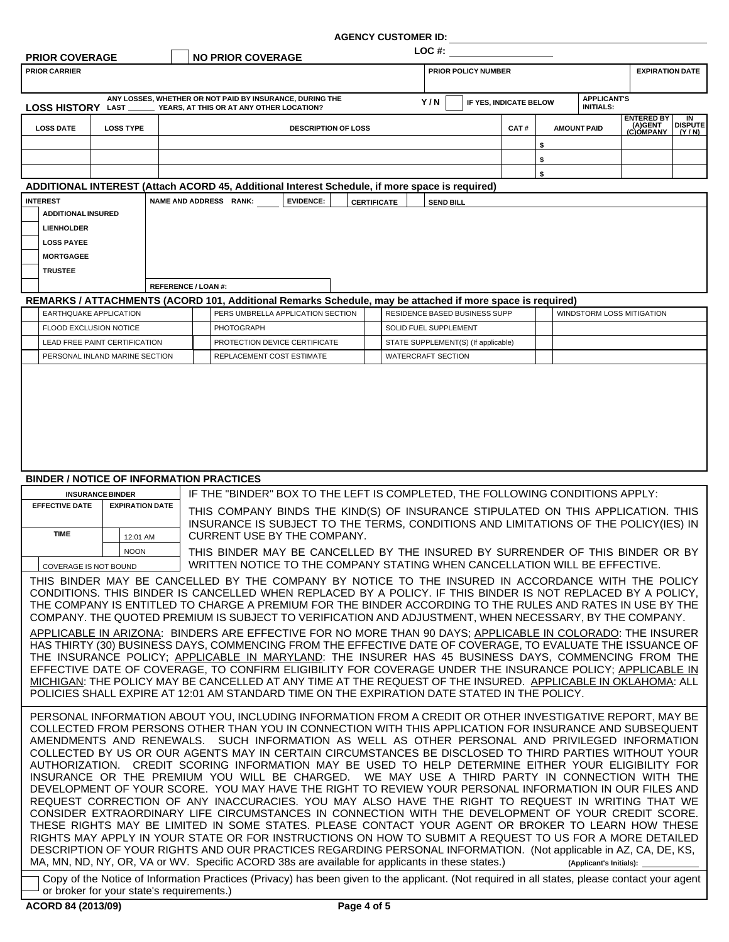#### **AGENCY CUSTOMER ID:**

| <b>PRIOR COVERAGE</b>                  |                                                 |                           | <b>NO PRIOR COVERAGE</b>                                                                                                                                                                                                                                                                                                                                                                                                                                                                                                                                                                                                                                                                                                                                                                                                                                                                                                                                                                                                                                                                                                                                                                                                                                                                                                                                                                                                                                                                                                                            |                    | LOC #:                              |                        |                                        |                                           |                      |
|----------------------------------------|-------------------------------------------------|---------------------------|-----------------------------------------------------------------------------------------------------------------------------------------------------------------------------------------------------------------------------------------------------------------------------------------------------------------------------------------------------------------------------------------------------------------------------------------------------------------------------------------------------------------------------------------------------------------------------------------------------------------------------------------------------------------------------------------------------------------------------------------------------------------------------------------------------------------------------------------------------------------------------------------------------------------------------------------------------------------------------------------------------------------------------------------------------------------------------------------------------------------------------------------------------------------------------------------------------------------------------------------------------------------------------------------------------------------------------------------------------------------------------------------------------------------------------------------------------------------------------------------------------------------------------------------------------|--------------------|-------------------------------------|------------------------|----------------------------------------|-------------------------------------------|----------------------|
| <b>PRIOR CARRIER</b>                   |                                                 |                           |                                                                                                                                                                                                                                                                                                                                                                                                                                                                                                                                                                                                                                                                                                                                                                                                                                                                                                                                                                                                                                                                                                                                                                                                                                                                                                                                                                                                                                                                                                                                                     |                    | PRIOR POLICY NUMBER                 |                        |                                        | <b>EXPIRATION DATE</b>                    |                      |
|                                        |                                                 |                           | ANY LOSSES, WHETHER OR NOT PAID BY INSURANCE, DURING THE<br>LOSS HISTORY LAST _________ YEARS, AT THIS OR AT ANY OTHER LOCATION?                                                                                                                                                                                                                                                                                                                                                                                                                                                                                                                                                                                                                                                                                                                                                                                                                                                                                                                                                                                                                                                                                                                                                                                                                                                                                                                                                                                                                    |                    | Y/N                                 | IF YES, INDICATE BELOW | <b>APPLICANT'S</b><br><b>INITIALS:</b> |                                           |                      |
| <b>LOSS DATE</b>                       | <b>LOSS TYPE</b>                                |                           | <b>DESCRIPTION OF LOSS</b>                                                                                                                                                                                                                                                                                                                                                                                                                                                                                                                                                                                                                                                                                                                                                                                                                                                                                                                                                                                                                                                                                                                                                                                                                                                                                                                                                                                                                                                                                                                          |                    |                                     | CAT#                   | <b>AMOUNT PAID</b>                     | <b>ENTERED BY</b><br>(A)GENT<br>(C)OMPANY | IN<br><b>DISPUTE</b> |
|                                        |                                                 |                           |                                                                                                                                                                                                                                                                                                                                                                                                                                                                                                                                                                                                                                                                                                                                                                                                                                                                                                                                                                                                                                                                                                                                                                                                                                                                                                                                                                                                                                                                                                                                                     |                    |                                     |                        | \$                                     |                                           | (Y/N)                |
|                                        |                                                 |                           |                                                                                                                                                                                                                                                                                                                                                                                                                                                                                                                                                                                                                                                                                                                                                                                                                                                                                                                                                                                                                                                                                                                                                                                                                                                                                                                                                                                                                                                                                                                                                     |                    |                                     |                        | \$                                     |                                           |                      |
|                                        |                                                 |                           | ADDITIONAL INTEREST (Attach ACORD 45, Additional Interest Schedule, if more space is required)                                                                                                                                                                                                                                                                                                                                                                                                                                                                                                                                                                                                                                                                                                                                                                                                                                                                                                                                                                                                                                                                                                                                                                                                                                                                                                                                                                                                                                                      |                    |                                     |                        | \$                                     |                                           |                      |
| <b>INTEREST</b>                        |                                                 | NAME AND ADDRESS RANK:    | <b>EVIDENCE:</b>                                                                                                                                                                                                                                                                                                                                                                                                                                                                                                                                                                                                                                                                                                                                                                                                                                                                                                                                                                                                                                                                                                                                                                                                                                                                                                                                                                                                                                                                                                                                    | <b>CERTIFICATE</b> | <b>SEND BILL</b>                    |                        |                                        |                                           |                      |
| <b>ADDITIONAL INSURED</b>              |                                                 |                           |                                                                                                                                                                                                                                                                                                                                                                                                                                                                                                                                                                                                                                                                                                                                                                                                                                                                                                                                                                                                                                                                                                                                                                                                                                                                                                                                                                                                                                                                                                                                                     |                    |                                     |                        |                                        |                                           |                      |
| <b>LIENHOLDER</b><br><b>LOSS PAYEE</b> |                                                 |                           |                                                                                                                                                                                                                                                                                                                                                                                                                                                                                                                                                                                                                                                                                                                                                                                                                                                                                                                                                                                                                                                                                                                                                                                                                                                                                                                                                                                                                                                                                                                                                     |                    |                                     |                        |                                        |                                           |                      |
| <b>MORTGAGEE</b>                       |                                                 |                           |                                                                                                                                                                                                                                                                                                                                                                                                                                                                                                                                                                                                                                                                                                                                                                                                                                                                                                                                                                                                                                                                                                                                                                                                                                                                                                                                                                                                                                                                                                                                                     |                    |                                     |                        |                                        |                                           |                      |
| <b>TRUSTEE</b>                         |                                                 |                           |                                                                                                                                                                                                                                                                                                                                                                                                                                                                                                                                                                                                                                                                                                                                                                                                                                                                                                                                                                                                                                                                                                                                                                                                                                                                                                                                                                                                                                                                                                                                                     |                    |                                     |                        |                                        |                                           |                      |
|                                        |                                                 | <b>REFERENCE / LOAN#:</b> |                                                                                                                                                                                                                                                                                                                                                                                                                                                                                                                                                                                                                                                                                                                                                                                                                                                                                                                                                                                                                                                                                                                                                                                                                                                                                                                                                                                                                                                                                                                                                     |                    |                                     |                        |                                        |                                           |                      |
|                                        | <b>EARTHQUAKE APPLICATION</b>                   |                           | REMARKS / ATTACHMENTS (ACORD 101, Additional Remarks Schedule, may be attached if more space is required)<br>PERS UMBRELLA APPLICATION SECTION                                                                                                                                                                                                                                                                                                                                                                                                                                                                                                                                                                                                                                                                                                                                                                                                                                                                                                                                                                                                                                                                                                                                                                                                                                                                                                                                                                                                      |                    | RESIDENCE BASED BUSINESS SUPP       |                        |                                        | WINDSTORM LOSS MITIGATION                 |                      |
| FLOOD EXCLUSION NOTICE                 |                                                 |                           | <b>PHOTOGRAPH</b>                                                                                                                                                                                                                                                                                                                                                                                                                                                                                                                                                                                                                                                                                                                                                                                                                                                                                                                                                                                                                                                                                                                                                                                                                                                                                                                                                                                                                                                                                                                                   |                    | SOLID FUEL SUPPLEMENT               |                        |                                        |                                           |                      |
|                                        | LEAD FREE PAINT CERTIFICATION                   |                           | PROTECTION DEVICE CERTIFICATE                                                                                                                                                                                                                                                                                                                                                                                                                                                                                                                                                                                                                                                                                                                                                                                                                                                                                                                                                                                                                                                                                                                                                                                                                                                                                                                                                                                                                                                                                                                       |                    | STATE SUPPLEMENT(S) (If applicable) |                        |                                        |                                           |                      |
|                                        | PERSONAL INLAND MARINE SECTION                  |                           | REPLACEMENT COST ESTIMATE                                                                                                                                                                                                                                                                                                                                                                                                                                                                                                                                                                                                                                                                                                                                                                                                                                                                                                                                                                                                                                                                                                                                                                                                                                                                                                                                                                                                                                                                                                                           |                    | <b>WATERCRAFT SECTION</b>           |                        |                                        |                                           |                      |
|                                        | <b>BINDER / NOTICE OF INFORMATION PRACTICES</b> |                           |                                                                                                                                                                                                                                                                                                                                                                                                                                                                                                                                                                                                                                                                                                                                                                                                                                                                                                                                                                                                                                                                                                                                                                                                                                                                                                                                                                                                                                                                                                                                                     |                    |                                     |                        |                                        |                                           |                      |
|                                        | <b>INSURANCE BINDER</b>                         |                           | IF THE "BINDER" BOX TO THE LEFT IS COMPLETED, THE FOLLOWING CONDITIONS APPLY:                                                                                                                                                                                                                                                                                                                                                                                                                                                                                                                                                                                                                                                                                                                                                                                                                                                                                                                                                                                                                                                                                                                                                                                                                                                                                                                                                                                                                                                                       |                    |                                     |                        |                                        |                                           |                      |
| <b>EFFECTIVE DATE</b>                  | <b>EXPIRATION DATE</b>                          |                           | THIS COMPANY BINDS THE KIND(S) OF INSURANCE STIPULATED ON THIS APPLICATION. THIS<br>INSURANCE IS SUBJECT TO THE TERMS, CONDITIONS AND LIMITATIONS OF THE POLICY(IES) IN                                                                                                                                                                                                                                                                                                                                                                                                                                                                                                                                                                                                                                                                                                                                                                                                                                                                                                                                                                                                                                                                                                                                                                                                                                                                                                                                                                             |                    |                                     |                        |                                        |                                           |                      |
| <b>TIME</b>                            | 12:01 AM                                        |                           | CURRENT USE BY THE COMPANY.                                                                                                                                                                                                                                                                                                                                                                                                                                                                                                                                                                                                                                                                                                                                                                                                                                                                                                                                                                                                                                                                                                                                                                                                                                                                                                                                                                                                                                                                                                                         |                    |                                     |                        |                                        |                                           |                      |
| <b>COVERAGE IS NOT BOUND</b>           | <b>NOON</b>                                     |                           | THIS BINDER MAY BE CANCELLED BY THE INSURED BY SURRENDER OF THIS BINDER OR BY<br>WRITTEN NOTICE TO THE COMPANY STATING WHEN CANCELLATION WILL BE EFFECTIVE.                                                                                                                                                                                                                                                                                                                                                                                                                                                                                                                                                                                                                                                                                                                                                                                                                                                                                                                                                                                                                                                                                                                                                                                                                                                                                                                                                                                         |                    |                                     |                        |                                        |                                           |                      |
|                                        |                                                 |                           | THIS BINDER MAY BE CANCELLED BY THE COMPANY BY NOTICE TO THE INSURED IN ACCORDANCE WITH THE POLICY<br>CONDITIONS. THIS BINDER IS CANCELLED WHEN REPLACED BY A POLICY. IF THIS BINDER IS NOT REPLACED BY A POLICY,<br>THE COMPANY IS ENTITLED TO CHARGE A PREMIUM FOR THE BINDER ACCORDING TO THE RULES AND RATES IN USE BY THE<br>COMPANY. THE QUOTED PREMIUM IS SUBJECT TO VERIFICATION AND ADJUSTMENT, WHEN NECESSARY, BY THE COMPANY.<br>APPLICABLE IN ARIZONA: BINDERS ARE EFFECTIVE FOR NO MORE THAN 90 DAYS; APPLICABLE IN COLORADO: THE INSURER<br>HAS THIRTY (30) BUSINESS DAYS, COMMENCING FROM THE EFFECTIVE DATE OF COVERAGE, TO EVALUATE THE ISSUANCE OF<br>THE INSURANCE POLICY; APPLICABLE IN MARYLAND: THE INSURER HAS 45 BUSINESS DAYS, COMMENCING FROM THE<br>EFFECTIVE DATE OF COVERAGE, TO CONFIRM ELIGIBILITY FOR COVERAGE UNDER THE INSURANCE POLICY; APPLICABLE IN<br>MICHIGAN: THE POLICY MAY BE CANCELLED AT ANY TIME AT THE REQUEST OF THE INSURED. APPLICABLE IN OKLAHOMA: ALL<br>POLICIES SHALL EXPIRE AT 12:01 AM STANDARD TIME ON THE EXPIRATION DATE STATED IN THE POLICY.                                                                                                                                                                                                                                                                                                                                                                                                                                            |                    |                                     |                        |                                        |                                           |                      |
|                                        |                                                 |                           | PERSONAL INFORMATION ABOUT YOU, INCLUDING INFORMATION FROM A CREDIT OR OTHER INVESTIGATIVE REPORT, MAY BE<br>COLLECTED FROM PERSONS OTHER THAN YOU IN CONNECTION WITH THIS APPLICATION FOR INSURANCE AND SUBSEQUENT<br>AMENDMENTS AND RENEWALS. SUCH INFORMATION AS WELL AS OTHER PERSONAL AND PRIVILEGED INFORMATION<br>COLLECTED BY US OR OUR AGENTS MAY IN CERTAIN CIRCUMSTANCES BE DISCLOSED TO THIRD PARTIES WITHOUT YOUR<br>AUTHORIZATION. CREDIT SCORING INFORMATION MAY BE USED TO HELP DETERMINE EITHER YOUR ELIGIBILITY FOR<br>INSURANCE OR THE PREMIUM YOU WILL BE CHARGED. WE MAY USE A THIRD PARTY IN CONNECTION WITH THE<br>DEVELOPMENT OF YOUR SCORE. YOU MAY HAVE THE RIGHT TO REVIEW YOUR PERSONAL INFORMATION IN OUR FILES AND<br>REQUEST CORRECTION OF ANY INACCURACIES. YOU MAY ALSO HAVE THE RIGHT TO REQUEST IN WRITING THAT WE<br>CONSIDER EXTRAORDINARY LIFE CIRCUMSTANCES IN CONNECTION WITH THE DEVELOPMENT OF YOUR CREDIT SCORE.<br>THESE RIGHTS MAY BE LIMITED IN SOME STATES. PLEASE CONTACT YOUR AGENT OR BROKER TO LEARN HOW THESE<br>RIGHTS MAY APPLY IN YOUR STATE OR FOR INSTRUCTIONS ON HOW TO SUBMIT A REQUEST TO US FOR A MORE DETAILED<br>DESCRIPTION OF YOUR RIGHTS AND OUR PRACTICES REGARDING PERSONAL INFORMATION. (Not applicable in AZ, CA, DE, KS,<br>MA, MN, ND, NY, OR, VA or WV. Specific ACORD 38s are available for applicants in these states.)<br>Copy of the Notice of Information Practices (Privacy) has been given to the applicant. (Not required in all states, please contact your agent |                    |                                     |                        | (Applicant's Initials):                |                                           |                      |
|                                        | or broker for your state's requirements.)       |                           |                                                                                                                                                                                                                                                                                                                                                                                                                                                                                                                                                                                                                                                                                                                                                                                                                                                                                                                                                                                                                                                                                                                                                                                                                                                                                                                                                                                                                                                                                                                                                     |                    |                                     |                        |                                        |                                           |                      |

ł